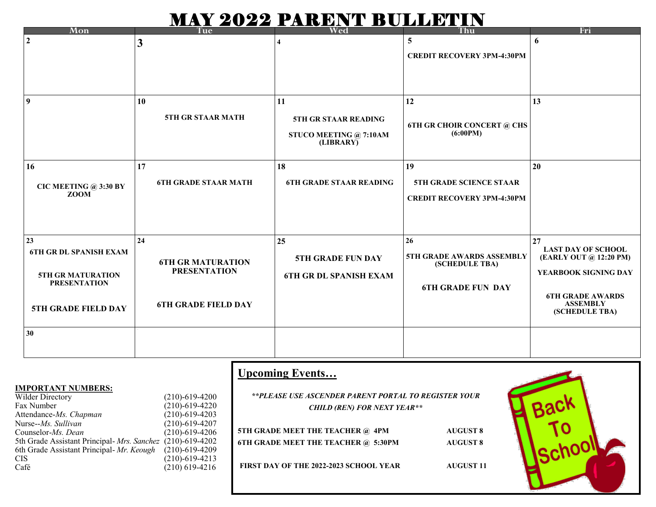## MAY 2022 PARENT BULLETIN

| Mon                                             | Tue                         | Wed                                 | Thu                                         | Fri                                                 |
|-------------------------------------------------|-----------------------------|-------------------------------------|---------------------------------------------|-----------------------------------------------------|
| $\overline{2}$                                  | 3                           |                                     | 5                                           | 6                                                   |
|                                                 |                             |                                     | <b>CREDIT RECOVERY 3PM-4:30PM</b>           |                                                     |
|                                                 |                             |                                     |                                             |                                                     |
| $\overline{9}$                                  | 10                          | 11                                  | 12                                          | 13                                                  |
|                                                 | 5TH GR STAAR MATH           | 5TH GR STAAR READING                | <b>6TH GR CHOIR CONCERT @ CHS</b>           |                                                     |
|                                                 |                             | STUCO MEETING @ 7:10AM<br>(LIBRARY) | (6:00PM)                                    |                                                     |
| <b>16</b>                                       | 17                          | 18                                  | 19                                          | 20                                                  |
| CIC MEETING @ 3:30 BY<br><b>ZOOM</b>            | <b>6TH GRADE STAAR MATH</b> | <b>6TH GRADE STAAR READING</b>      | 5TH GRADE SCIENCE STAAR                     |                                                     |
|                                                 |                             |                                     | <b>CREDIT RECOVERY 3PM-4:30PM</b>           |                                                     |
|                                                 |                             |                                     |                                             |                                                     |
| 23                                              | 24                          | 25                                  | 26                                          | 27                                                  |
| <b>6TH GR DL SPANISH EXAM</b>                   | <b>6TH GR MATURATION</b>    | <b>5TH GRADE FUN DAY</b>            | 5TH GRADE AWARDS ASSEMBLY<br>(SCHEDULE TBA) | <b>LAST DAY OF SCHOOL</b><br>(EARLY OUT @ 12:20 PM) |
| <b>5TH GR MATURATION</b><br><b>PRESENTATION</b> | <b>PRESENTATION</b>         | <b>6TH GR DL SPANISH EXAM</b>       |                                             | YEARBOOK SIGNING DAY                                |
|                                                 |                             |                                     | <b>6TH GRADE FUN DAY</b>                    | <b>6TH GRADE AWARDS</b>                             |
| <b>5TH GRADE FIELD DAY</b>                      | <b>6TH GRADE FIELD DAY</b>  |                                     |                                             | <b>ASSEMBLY</b><br>(SCHEDULE TBA)                   |
| 30                                              |                             |                                     |                                             |                                                     |
|                                                 |                             |                                     |                                             |                                                     |

|                                                            |                                              | <b>Upcoming Events</b>                               |                  |  |
|------------------------------------------------------------|----------------------------------------------|------------------------------------------------------|------------------|--|
| <b>IMPORTANT NUMBERS:</b>                                  |                                              | **PLEASE USE ASCENDER PARENT PORTAL TO REGISTER YOUR |                  |  |
| Wilder Directory<br>Fax Number                             | $(210) - 619 - 4200$<br>$(210) - 619 - 4220$ | <b>CHILD (REN) FOR NEXT YEAR**</b>                   |                  |  |
| Attendance-Ms. Chapman                                     | $(210)-619-4203$                             |                                                      |                  |  |
| Nurse-- <i>Ms. Sullivan</i><br>Counselor-Ms. Dean          | $(210) - 619 - 4207$<br>$(210) - 619 - 4206$ | 5TH GRADE MEET THE TEACHER @ 4PM                     | <b>AUGUST 8</b>  |  |
| 5th Grade Assistant Principal- Mrs. Sanchez (210)-619-4202 |                                              | 6TH GRADE MEET THE TEACHER @ 5:30PM                  | <b>AUGUST 8</b>  |  |
| 6th Grade Assistant Principal- Mr. Keough<br><b>CIS</b>    | $(210) - 619 - 4209$<br>$(210) - 619 - 4213$ |                                                      |                  |  |
| Café                                                       | $(210)$ 619-4216                             | <b>FIRST DAY OF THE 2022-2023 SCHOOL YEAR</b>        | <b>AUGUST 11</b> |  |
|                                                            |                                              |                                                      |                  |  |

 $\Gamma$